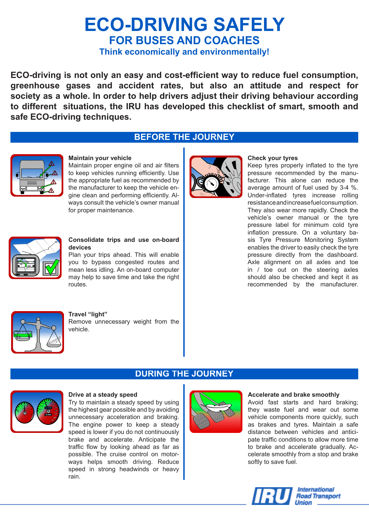# **ECO-DRIVING SAFELY FOR BUSES AND COACHES**

**Think economically and environmentally!**

**ECO-driving is not only an easy and cost-efficient way to reduce fuel consumption, greenhouse gases and accident rates, but also an attitude and respect for society as a whole. In order to help drivers adjust their driving behaviour according to different situations, the IRU has developed this checklist of smart, smooth and safe ECO-driving techniques.**

### **BEFORE THE JOURNEY**



#### **Maintain your vehicle**

Maintain proper engine oil and air filters to keep vehicles running efficiently. Use the appropriate fuel as recommended by the manufacturer to keep the vehicle engine clean and performing efficiently. Always consult the vehicle's owner manual for proper maintenance.



#### **Check your tyres**

Keep tyres properly inflated to the tyre pressure recommended by the manufacturer. This alone can reduce the average amount of fuel used by 3-4 %. Under-inflated tyres increase rolling resistance and increase fuel consumption. They also wear more rapidly. Check the vehicle's owner manual or the tyre pressure label for minimum cold tyre inflation pressure. On a voluntary basis Tyre Pressure Monitoring System enables the driver to easily check the tyre pressure directly from the dashboard. Axle alignment on all axles and toe in / toe out on the steering axles should also be checked and kept it as recommended by the manufacturer.



#### **Consolidate trips and use on-board devices**

Plan your trips ahead. This will enable you to bypass congested routes and mean less idling. An on-board computer may help to save time and take the right routes.



#### **Travel "light"**

Remove unnecessary weight from the vehicle.

## **DURING THE JOURNEY**



#### **Drive at a steady speed**

Try to maintain a steady speed by using the highest gear possible and by avoiding unnecessary acceleration and braking. The engine power to keep a steady speed is lower if you do not continuously brake and accelerate. Anticipate the traffic flow by looking ahead as far as possible. The cruise control on motorways helps smooth driving. Reduce speed in strong headwinds or heavy rain.



#### **Accelerate and brake smoothly**

Avoid fast starts and hard braking; they waste fuel and wear out some vehicle components more quickly, such as brakes and tyres. Maintain a safe distance between vehicles and anticipate traffic conditions to allow more time to brake and accelerate gradually. Accelerate smoothly from a stop and brake softly to save fuel.